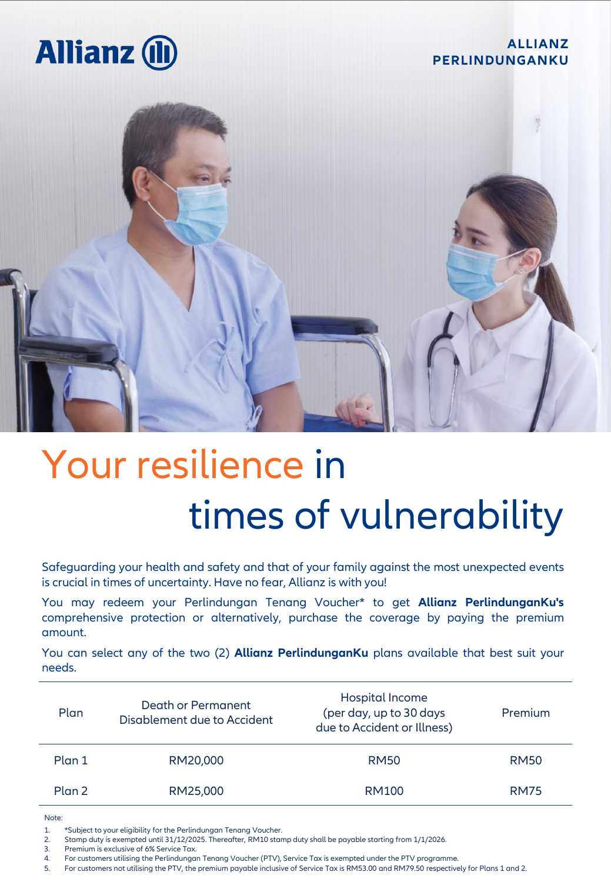## **Allianz (II**

### **ALLIANZ PERLINDUNGANKU**



# Your resilience in times of vulnerability

Safeguarding your health and safety and that of your family against the most unexpected events is crucial in times of uncertainty. Have no fear, Allianz is with you!

You may redeem your Perlindungan Tenang Voucher\* to get **Allianz PerlindunganKu's** comprehensive protection or alternatively, purchase the coverage by paying the premium amount.

You can select any of the two (2) **Allianz PerlindunganKu** plans available that best suit your needs.

| Plan              | Death or Permanent<br>Disablement due to Accident | Hospital Income<br>(per day, up to 30 days<br>due to Accident or Illness) | Premium     |
|-------------------|---------------------------------------------------|---------------------------------------------------------------------------|-------------|
| Plan <sub>1</sub> | RM20,000                                          | <b>RM50</b>                                                               | <b>RM50</b> |
| Plan <sub>2</sub> | RM25,000                                          | RM100                                                                     | <b>RM75</b> |

Note:

1. \*Subject to your eligibility for the Perlindungan Tenang Voucher.

2. Stamp duty is exempted until 31/12/2025. Thereafter, RM10 stamp duty shall be payable starting from 1/1/2026.<br>3. Premium is exclusive of 6% Service Tax.

3. Premium is exclusive of 6% Service Tax.<br>4. For customers utilising the Perlindungai

5. For customers not utilising the PTV, the premium payable inclusive of Service Tax is RM53.00 and RM79.50 respectively for Plans 1 and 2.

<sup>4.</sup> For customers utilising the Perlindungan Tenang Voucher (PTV), Service Tax is exempted under the PTV programme.